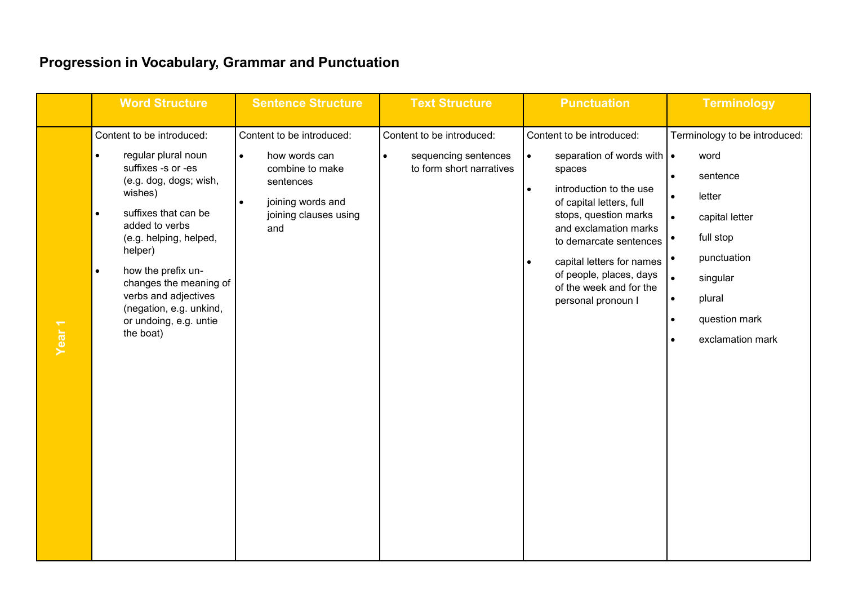|                   | <b>Word Structure</b>                                                                                                                                                                                                                                                                                                                                                       | <b>Sentence Structure</b>                                                                                                                                 | <b>Text Structure</b>                                                                      | <b>Punctuation</b>                                                                                                                                                                                                                                                                                                                                         | <b>Terminology</b>                                                                                                                                                                                                            |
|-------------------|-----------------------------------------------------------------------------------------------------------------------------------------------------------------------------------------------------------------------------------------------------------------------------------------------------------------------------------------------------------------------------|-----------------------------------------------------------------------------------------------------------------------------------------------------------|--------------------------------------------------------------------------------------------|------------------------------------------------------------------------------------------------------------------------------------------------------------------------------------------------------------------------------------------------------------------------------------------------------------------------------------------------------------|-------------------------------------------------------------------------------------------------------------------------------------------------------------------------------------------------------------------------------|
| Year <sub>1</sub> | Content to be introduced:<br>regular plural noun<br>$\bullet$<br>suffixes -s or -es<br>(e.g. dog, dogs; wish,<br>wishes)<br>suffixes that can be<br>$\bullet$<br>added to verbs<br>(e.g. helping, helped,<br>helper)<br>how the prefix un-<br>$\bullet$<br>changes the meaning of<br>verbs and adjectives<br>(negation, e.g. unkind,<br>or undoing, e.g. untie<br>the boat) | Content to be introduced:<br>how words can<br>$\bullet$<br>combine to make<br>sentences<br>joining words and<br>$\bullet$<br>joining clauses using<br>and | Content to be introduced:<br>sequencing sentences<br>$\bullet$<br>to form short narratives | Content to be introduced:<br>separation of words with $\cdot$<br>$\bullet$<br>spaces<br>introduction to the use<br>$\bullet$<br>of capital letters, full<br>stops, question marks<br>and exclamation marks<br>to demarcate sentences<br>capital letters for names<br>$\bullet$<br>of people, places, days<br>of the week and for the<br>personal pronoun I | Terminology to be introduced:<br>word<br>sentence<br>$\bullet$<br>letter<br>$\bullet$<br>capital letter<br>$\bullet$<br>full stop<br>punctuation<br>singular<br>plural<br>٠<br>question mark<br>$\bullet$<br>exclamation mark |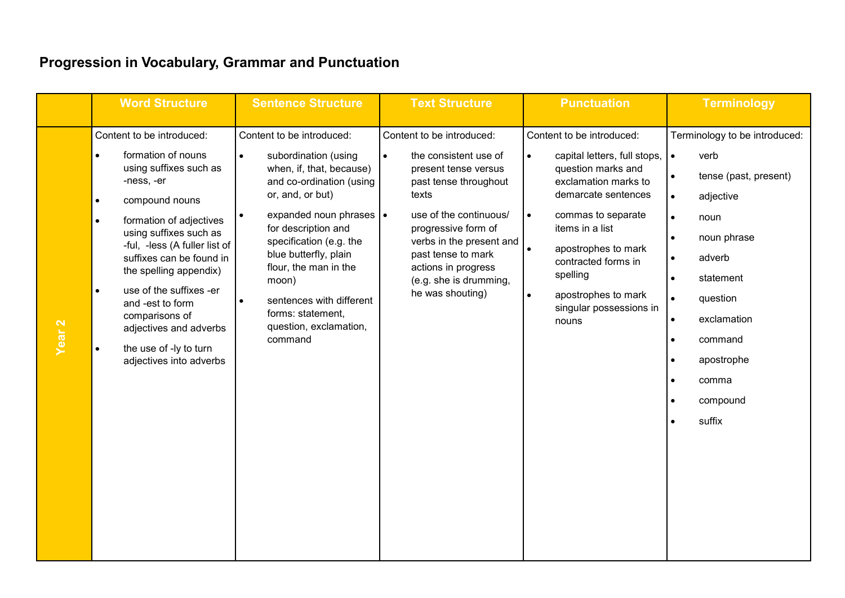|                   | <b>Word Structure</b>                                                                                                                                                                                                                                                                                                                                                                                                                                     | <b>Sentence Structure</b>                                                                                                                                                                                                                                                                                                                                   | <b>Text Structure</b>                                                                                                                                                                                                                                                                             | <b>Punctuation</b>                                                                                                                                                                                                                                                                                                                               | <b>Terminology</b>                                                                                                                                                                                                              |
|-------------------|-----------------------------------------------------------------------------------------------------------------------------------------------------------------------------------------------------------------------------------------------------------------------------------------------------------------------------------------------------------------------------------------------------------------------------------------------------------|-------------------------------------------------------------------------------------------------------------------------------------------------------------------------------------------------------------------------------------------------------------------------------------------------------------------------------------------------------------|---------------------------------------------------------------------------------------------------------------------------------------------------------------------------------------------------------------------------------------------------------------------------------------------------|--------------------------------------------------------------------------------------------------------------------------------------------------------------------------------------------------------------------------------------------------------------------------------------------------------------------------------------------------|---------------------------------------------------------------------------------------------------------------------------------------------------------------------------------------------------------------------------------|
| Year <sub>2</sub> | Content to be introduced:<br>formation of nouns<br>$\bullet$<br>using suffixes such as<br>-ness, -er<br>compound nouns<br>$\bullet$<br>formation of adjectives<br>$\bullet$<br>using suffixes such as<br>-ful, -less (A fuller list of<br>suffixes can be found in<br>the spelling appendix)<br>use of the suffixes -er<br>$\bullet$<br>and -est to form<br>comparisons of<br>adjectives and adverbs<br>the use of -ly to turn<br>adjectives into adverbs | Content to be introduced:<br>subordination (using<br>when, if, that, because)<br>and co-ordination (using<br>or, and, or but)<br>expanded noun phrases •<br>for description and<br>specification (e.g. the<br>blue butterfly, plain<br>flour, the man in the<br>moon)<br>sentences with different<br>forms: statement,<br>question, exclamation,<br>command | Content to be introduced:<br>the consistent use of<br>$\bullet$<br>present tense versus<br>past tense throughout<br>texts<br>use of the continuous/<br>progressive form of<br>verbs in the present and<br>past tense to mark<br>actions in progress<br>(e.g. she is drumming,<br>he was shouting) | Content to be introduced:<br>capital letters, full stops,<br>$\bullet$<br>question marks and<br>exclamation marks to<br>demarcate sentences<br>$\bullet$<br>commas to separate<br>items in a list<br>apostrophes to mark<br>$\bullet$<br>contracted forms in<br>spelling<br>apostrophes to mark<br>$\bullet$<br>singular possessions in<br>nouns | Terminology to be introduced:<br>verb<br>I۰<br>tense (past, present)<br>adjective<br>noun<br>$\bullet$<br>noun phrase<br>adverb<br>statement<br>question<br>exclamation<br>command<br>apostrophe<br>comma<br>compound<br>suffix |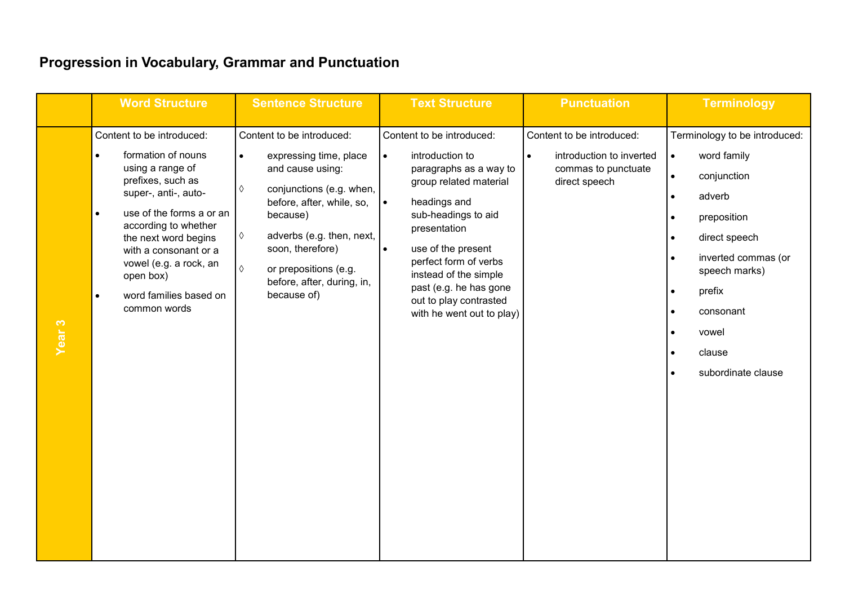|                   | <b>Word Structure</b>                                                                                                                                                                                                                                                                                                                         | <b>Sentence Structure</b>                                                                                                                                                                                                                                                                       | <b>Text Structure</b>                                                                                                                                                                                                                                                                                                                                   | <b>Punctuation</b>                                                                                         | <b>Terminology</b>                                                                                                                                                                                                                                                                          |
|-------------------|-----------------------------------------------------------------------------------------------------------------------------------------------------------------------------------------------------------------------------------------------------------------------------------------------------------------------------------------------|-------------------------------------------------------------------------------------------------------------------------------------------------------------------------------------------------------------------------------------------------------------------------------------------------|---------------------------------------------------------------------------------------------------------------------------------------------------------------------------------------------------------------------------------------------------------------------------------------------------------------------------------------------------------|------------------------------------------------------------------------------------------------------------|---------------------------------------------------------------------------------------------------------------------------------------------------------------------------------------------------------------------------------------------------------------------------------------------|
| Year <sub>3</sub> | Content to be introduced:<br>formation of nouns<br>$\bullet$<br>using a range of<br>prefixes, such as<br>super-, anti-, auto-<br>use of the forms a or an<br>$\bullet$<br>according to whether<br>the next word begins<br>with a consonant or a<br>vowel (e.g. a rock, an<br>open box)<br>word families based on<br>$\bullet$<br>common words | Content to be introduced:<br>expressing time, place<br>$\bullet$<br>and cause using:<br>conjunctions (e.g. when,<br>♦<br>before, after, while, so,<br>because)<br>adverbs (e.g. then, next,<br>♦<br>soon, therefore)<br>or prepositions (e.g.<br>♦<br>before, after, during, in,<br>because of) | Content to be introduced:<br>introduction to<br>$\bullet$<br>paragraphs as a way to<br>group related material<br>$\bullet$<br>headings and<br>sub-headings to aid<br>presentation<br>use of the present<br>$\bullet$<br>perfect form of verbs<br>instead of the simple<br>past (e.g. he has gone<br>out to play contrasted<br>with he went out to play) | Content to be introduced:<br>introduction to inverted<br>$\bullet$<br>commas to punctuate<br>direct speech | Terminology to be introduced:<br>word family<br>$\bullet$<br>conjunction<br>$\bullet$<br>adverb<br>preposition<br>$\bullet$<br>direct speech<br>$\bullet$<br>inverted commas (or<br>$\bullet$<br>speech marks)<br>prefix<br>consonant<br>vowel<br>$\bullet$<br>clause<br>subordinate clause |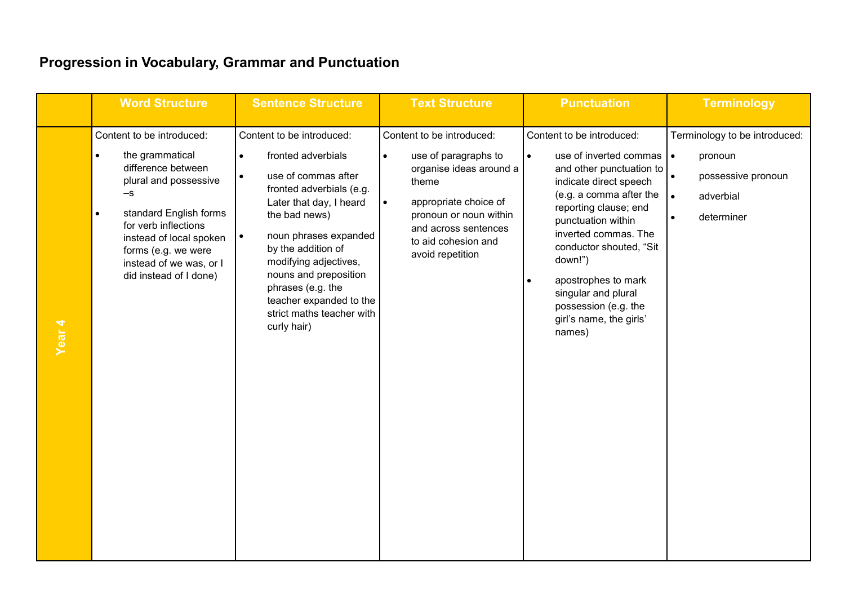|                   | <b>Word Structure</b>                                                                                                                                                                                                                                                   | <b>Sentence Structure</b>                                                                                                                                                                                                                                                                                                                                | <b>Text Structure</b>                                                                                                                                                                                                                 | <b>Punctuation</b>                                                                                                                                                                                                                                                                                                                                                                         | <b>Terminology</b>                                                                                                               |
|-------------------|-------------------------------------------------------------------------------------------------------------------------------------------------------------------------------------------------------------------------------------------------------------------------|----------------------------------------------------------------------------------------------------------------------------------------------------------------------------------------------------------------------------------------------------------------------------------------------------------------------------------------------------------|---------------------------------------------------------------------------------------------------------------------------------------------------------------------------------------------------------------------------------------|--------------------------------------------------------------------------------------------------------------------------------------------------------------------------------------------------------------------------------------------------------------------------------------------------------------------------------------------------------------------------------------------|----------------------------------------------------------------------------------------------------------------------------------|
| Year <sub>4</sub> | Content to be introduced:<br>the grammatical<br>difference between<br>plural and possessive<br>-s<br>standard English forms<br>$\bullet$<br>for verb inflections<br>instead of local spoken<br>forms (e.g. we were<br>instead of we was, or I<br>did instead of I done) | Content to be introduced:<br>fronted adverbials<br>$\bullet$<br>use of commas after<br>fronted adverbials (e.g.<br>Later that day, I heard<br>the bad news)<br>noun phrases expanded<br>by the addition of<br>modifying adjectives,<br>nouns and preposition<br>phrases (e.g. the<br>teacher expanded to the<br>strict maths teacher with<br>curly hair) | Content to be introduced:<br>use of paragraphs to<br>$\bullet$<br>organise ideas around a<br>theme<br>appropriate choice of<br>$\bullet$<br>pronoun or noun within<br>and across sentences<br>to aid cohesion and<br>avoid repetition | Content to be introduced:<br>use of inverted commas   •<br>$\bullet$<br>and other punctuation to<br>indicate direct speech<br>(e.g. a comma after the<br>reporting clause; end<br>punctuation within<br>inverted commas. The<br>conductor shouted, "Sit<br>down!")<br>apostrophes to mark<br>$\bullet$<br>singular and plural<br>possession (e.g. the<br>girl's name, the girls'<br>names) | Terminology to be introduced:<br>pronoun<br>possessive pronoun<br>$\bullet$<br>adverbial<br>$\bullet$<br>determiner<br>$\bullet$ |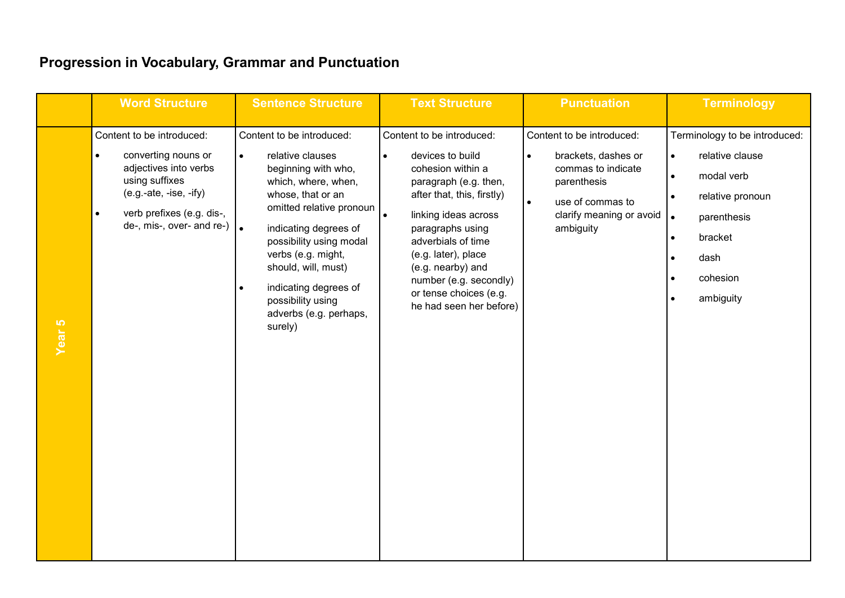|                   | <b>Word Structure</b>                                                                                                                                                                                       | <b>Sentence Structure</b>                                                                                                                                                                                                                                                                                                                                  | <b>Text Structure</b>                                                                                                                                                                                                                                                                                                                            | <b>Punctuation</b>                                                                                                                                                           | <b>Terminology</b>                                                                                                                                                                   |
|-------------------|-------------------------------------------------------------------------------------------------------------------------------------------------------------------------------------------------------------|------------------------------------------------------------------------------------------------------------------------------------------------------------------------------------------------------------------------------------------------------------------------------------------------------------------------------------------------------------|--------------------------------------------------------------------------------------------------------------------------------------------------------------------------------------------------------------------------------------------------------------------------------------------------------------------------------------------------|------------------------------------------------------------------------------------------------------------------------------------------------------------------------------|--------------------------------------------------------------------------------------------------------------------------------------------------------------------------------------|
| Year <sub>5</sub> | Content to be introduced:<br>converting nouns or<br>$\bullet$<br>adjectives into verbs<br>using suffixes<br>$(e.g.-ate, -ise, -ify)$<br>verb prefixes (e.g. dis-,<br>$\bullet$<br>de-, mis-, over- and re-) | Content to be introduced:<br>relative clauses<br>$\bullet$<br>beginning with who,<br>which, where, when,<br>whose, that or an<br>omitted relative pronoun<br>$\bullet$<br>indicating degrees of<br>possibility using modal<br>verbs (e.g. might,<br>should, will, must)<br>indicating degrees of<br>possibility using<br>adverbs (e.g. perhaps,<br>surely) | Content to be introduced:<br>devices to build<br>$\bullet$<br>cohesion within a<br>paragraph (e.g. then,<br>after that, this, firstly)<br>$\bullet$<br>linking ideas across<br>paragraphs using<br>adverbials of time<br>(e.g. later), place<br>(e.g. nearby) and<br>number (e.g. secondly)<br>or tense choices (e.g.<br>he had seen her before) | Content to be introduced:<br>brackets, dashes or<br>$\bullet$<br>commas to indicate<br>parenthesis<br>$\bullet$<br>use of commas to<br>clarify meaning or avoid<br>ambiguity | Terminology to be introduced:<br>relative clause<br>$\bullet$<br>modal verb<br>relative pronoun<br>parenthesis<br>$\bullet$<br>bracket<br>$\bullet$<br>dash<br>cohesion<br>ambiguity |